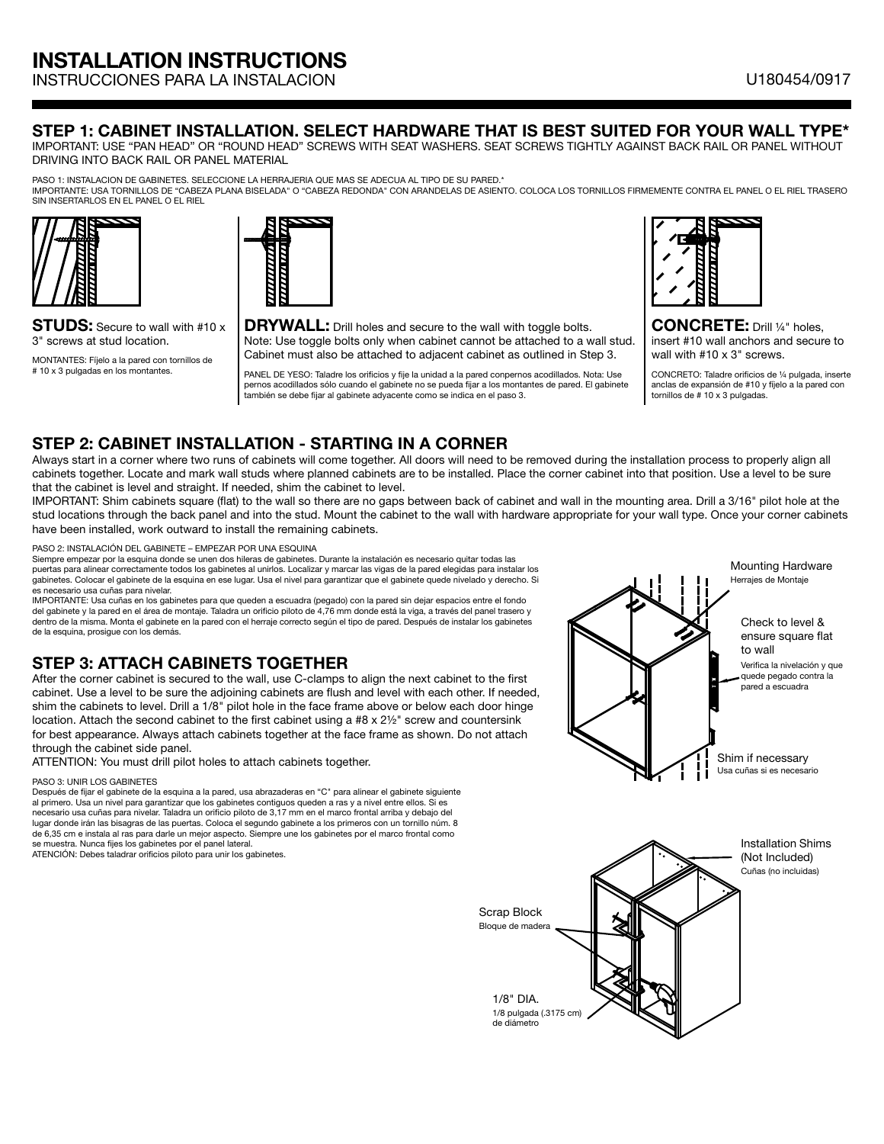INSTRUCCIONES PARA LA INSTALACION U180454/0917

### STEP 1: CABINET INSTALLATION. SELECT HARDWARE THAT IS BEST SUITED FOR YOUR WALL TYPE\*

IMPORTANT: USE "PAN HEAD" OR "ROUND HEAD" SCREWS WITH SEAT WASHERS. SEAT SCREWS TIGHTLY AGAINST BACK RAIL OR PANEL WITHOUT DRIVING INTO BACK RAIL OR PANEL MATERIAL

PASO 1: INSTALACION DE GABINETES. SELECCIONE LA HERRAJERIA QUE MAS SE ADECUA AL TIPO DE SU PARED.\*

IMPORTANTE: USA TORNILLOS DE "CABEZA PLANA BISELADA" O "CABEZA REDONDA" CON ARANDELAS DE ASIENTO. COLOCA LOS TORNILLOS FIRMEMENTE CONTRA EL PANEL O EL RIEL TRASERO SIN INSERTARLOS EN EL PANEL O EL RIEL







CONCRETE: Drill ¼" holes, insert #10 wall anchors and secure to wall with #10 x 3" screws.

CONCRETO: Taladre orificios de ¼ pulgada, inserte anclas de expansión de #10 y fíjelo a la pared con tornillos de # 10 x 3 pulgadas.

### **STUDS:** Secure to wall with #10 x 3" screws at stud location.

MONTANTES: Fíjelo a la pared con tornillos de # 10 x 3 pulgadas en los montantes.

**DRYWALL:** Drill holes and secure to the wall with toggle bolts. Note: Use toggle bolts only when cabinet cannot be attached to a wall stud. Cabinet must also be attached to adjacent cabinet as outlined in Step 3.

PANEL DE YESO: Taladre los orificios y fije la unidad a la pared conpernos acodillados. Nota: Use pernos acodillados sólo cuando el gabinete no se pueda fijar a los montantes de pared. El gabinete también se debe fijar al gabinete adyacente como se indica en el paso 3.

# STEP 2: CABINET INSTALLATION - STARTING IN A CORNER

Always start in a corner where two runs of cabinets will come together. All doors will need to be removed during the installation process to properly align all cabinets together. Locate and mark wall studs where planned cabinets are to be installed. Place the corner cabinet into that position. Use a level to be sure that the cabinet is level and straight. If needed, shim the cabinet to level.

IMPORTANT: Shim cabinets square (flat) to the wall so there are no gaps between back of cabinet and wall in the mounting area. Drill a 3/16" pilot hole at the stud locations through the back panel and into the stud. Mount the cabinet to the wall with hardware appropriate for your wall type. Once your corner cabinets have been installed, work outward to install the remaining cabinets.

PASO 2: INSTALACIÓN DEL GABINETE – EMPEZAR POR UNA ESQUINA

Siempre empezar por la esquina donde se unen dos hileras de gabinetes. Durante la instalación es necesario quitar todas las puertas para alinear correctamente todos los gabinetes al unirlos. Localizar y marcar las vigas de la pared elegidas para instalar los .<br>gabinetes. Colocar el gabinete de la esquina en ese lugar. Usa el nivel para garantizar que el gabinete quede nivelado y derecho. Si es necesario usa cuñas para nivelar.

IMPORTANTE: Usa cuñas en los gabinetes para que queden a escuadra (pegado) con la pared sin dejar espacios entre el fondo del gabinete y la pared en el área de montaje. Taladra un orificio piloto de 4,76 mm donde está la viga, a través del panel trasero y dentro de la misma. Monta el gabinete en la pared con el herraje correcto según el tipo de pared. Después de instalar los gabinetes de la esquina, prosigue con los demás.

# STEP 3: ATTACH CABINETS TOGETHER

After the corner cabinet is secured to the wall, use C-clamps to align the next cabinet to the first cabinet. Use a level to be sure the adjoining cabinets are flush and level with each other. If needed, shim the cabinets to level. Drill a 1/8" pilot hole in the face frame above or below each door hinge location. Attach the second cabinet to the first cabinet using a  $#8 \times 2\frac{1}{2}$ " screw and countersink for best appearance. Always attach cabinets together at the face frame as shown. Do not attach through the cabinet side panel.

ATTENTION: You must drill pilot holes to attach cabinets together.

### PASO 3: UNIR LOS GABINETES

Después de fijar el gabinete de la esquina a la pared, usa abrazaderas en "C" para alinear el gabinete siguiente al primero. Usa un nivel para garantizar que los gabinetes contiguos queden a ras y a nivel entre ellos. Si es necesario usa cuñas para nivelar. Taladra un orificio piloto de 3,17 mm en el marco frontal arriba y debajo del lugar donde irán las bisagras de las puertas. Coloca el segundo gabinete a los primeros con un tornillo núm. 8 de 6,35 cm e instala al ras para darle un mejor aspecto. Siempre une los gabinetes por el marco frontal como se muestra. Nunca fijes los gabinetes por el panel lateral. ATENCIÓN: Debes taladrar orificios piloto para unir los gabinetes.

Shim if necessary Usa cuñas si es necesario Check to level & ensure square flat to wall Verifica la nivelación y que quede pegado contra la pared a escuadra Mounting Hardware Herrajes de Montaje

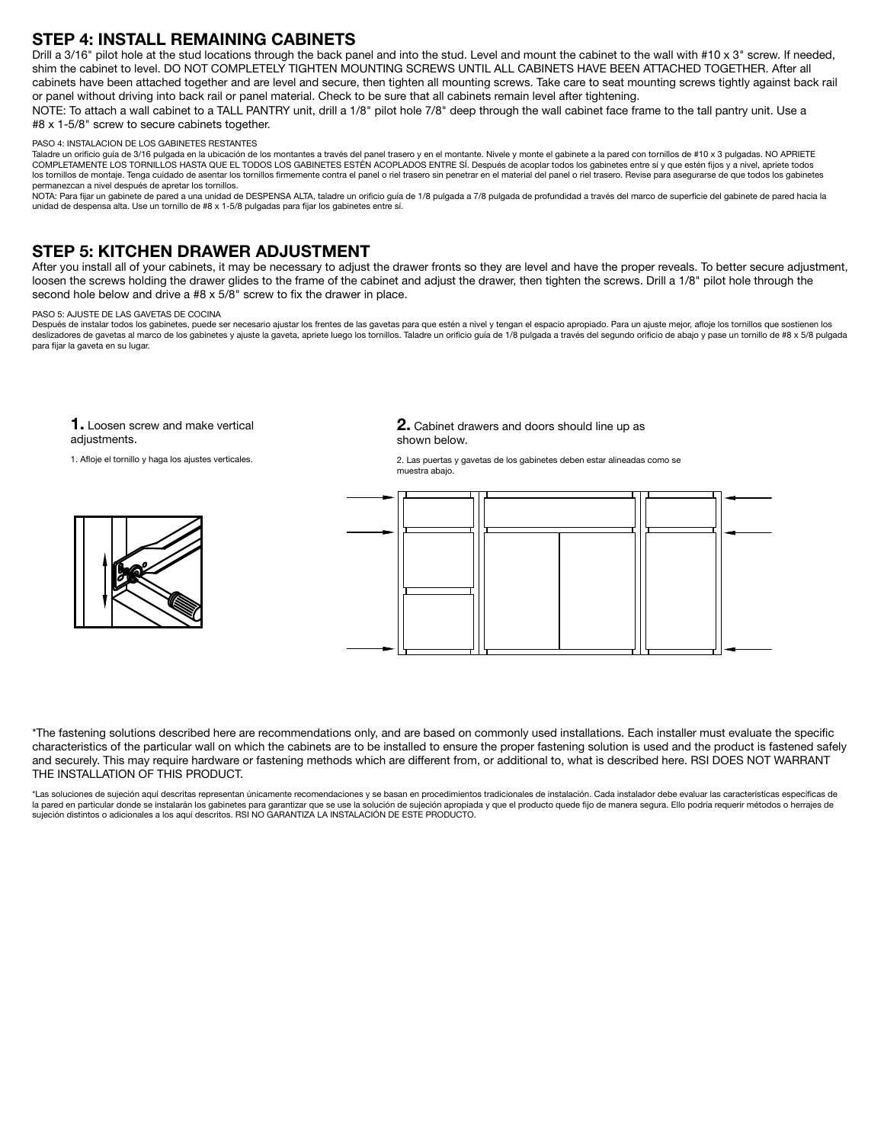## STEP 4: INSTALL REMAINING CABINETS

Drill a 3/16" pilot hole at the stud locations through the back panel and into the stud. Level and mount the cabinet to the wall with #10 x 3" screw. If needed, shim the cabinet to level. DO NOT COMPLETELY TIGHTEN MOUNTING SCREWS UNTIL ALL CABINETS HAVE BEEN ATTACHED TOGETHER. After all cabinets have been attached together and are level and secure, then tighten all mounting screws. Take care to seat mounting screws tightly against back rail or panel without driving into back rail or panel material. Check to be sure that all cabinets remain level after tightening. NOTE: To attach a wall cabinet to a TALL PANTRY unit, drill a 1/8" pilot hole 7/8" deep through the wall cabinet face frame to the tall pantry unit. Use a #8 x 1-5/8" screw to secure cabinets together.

### PASO 4: INSTALACION DE LOS GABINETES RESTANTES

Taladre un orificio guía de 3/16 pulgada en la ubicación de los montantes a través del panel trasero y en el montante. Nivele y monte el gabinete a la pared con tornillos de #10 x 3 pulgadas. NO APRIETE COMPLETAMENTE LOS TORNILLOS HASTA QUE EL TODOS LOS GABINETES ESTÉN ACOPLADOS ENTRE SÍ. Después de acoplar todos los gabinetes entre sí y que estén fijos y a nivel, apriete todos los tornillos de montaje. Tenga cuidado de asentar los tornillos firmemente contra el panel o riel trasero sin penetrar en el material del panel o riel trasero. Revise para asegurarse de que todos los gabinete permanezcan a nivel después de apretar los tornillos.

NOTA: Para fijar un gabinete de pared a una unidad de DESPENSA ALTA, taladre un orificio guía de 1/8 pulgada a 7/8 pulgada de profundidad a través del marco de superficie del gabinete de pared hacia la unidad de despensa alta. Use un tornillo de #8 x 1-5/8 pulgadas para fijar los gabinetes entre sí.

### STEP 5: KITCHEN DRAWER ADJUSTMENT

After you install all of your cabinets, it may be necessary to adjust the drawer fronts so they are level and have the proper reveals. To better secure adjustment, loosen the screws holding the drawer glides to the frame of the cabinet and adjust the drawer, then tighten the screws. Drill a 1/8" pilot hole through the second hole below and drive a #8 x 5/8" screw to fix the drawer in place.

#### PASO 5: AJUSTE DE LAS GAVETAS DE COCINA

Después de instalar todos los gabinetes, puede ser necesario ajustar los frentes de las gavetas para que estén a nivel y tengan el espacio apropiado. Para un ajuste mejor, afloje los tornillos que sostienen los deslizadores de gavetas al marco de los gabinetes y ajuste la gaveta, apriete luego los tornillos. Taladre un orificio guía de 1/8 pulgada a través del segundo orificio de abajo y pase un tornillo de #8 x 5/8 pulgada para fijar la gaveta en su lugar.

1. Loosen screw and make vertical adjustments.

1. Afloje el tornillo y haga los ajustes verticales.



2. Cabinet drawers and doors should line up as shown below.

2. Las puertas y gavetas de los gabinetes deben estar alineadas como se muestra abajo.



\*The fastening solutions described here are recommendations only, and are based on commonly used installations. Each installer must evaluate the specific characteristics of the particular wall on which the cabinets are to be installed to ensure the proper fastening solution is used and the product is fastened safely and securely. This may require hardware or fastening methods which are different from, or additional to, what is described here. RSI DOES NOT WARRANT THE INSTALLATION OF THIS PRODUCT.

\*Las soluciones de sujeción aquí descritas representan únicamente recomendaciones y se basan en procedimientos tradicionales de instalación. Cada instalador debe evaluar las características específicas de la pared en particular donde se instalarán los gabinetes para garantizar que se use la solución de sujeción apropiada y que el producto quede fijo de manera segura. Ello podría requerir métodos o herrajes de sujeción distintos o adicionales a los aquí descritos. RSI NO GARANTIZA LA INSTALACIÓN DE ESTE PRODUCTO.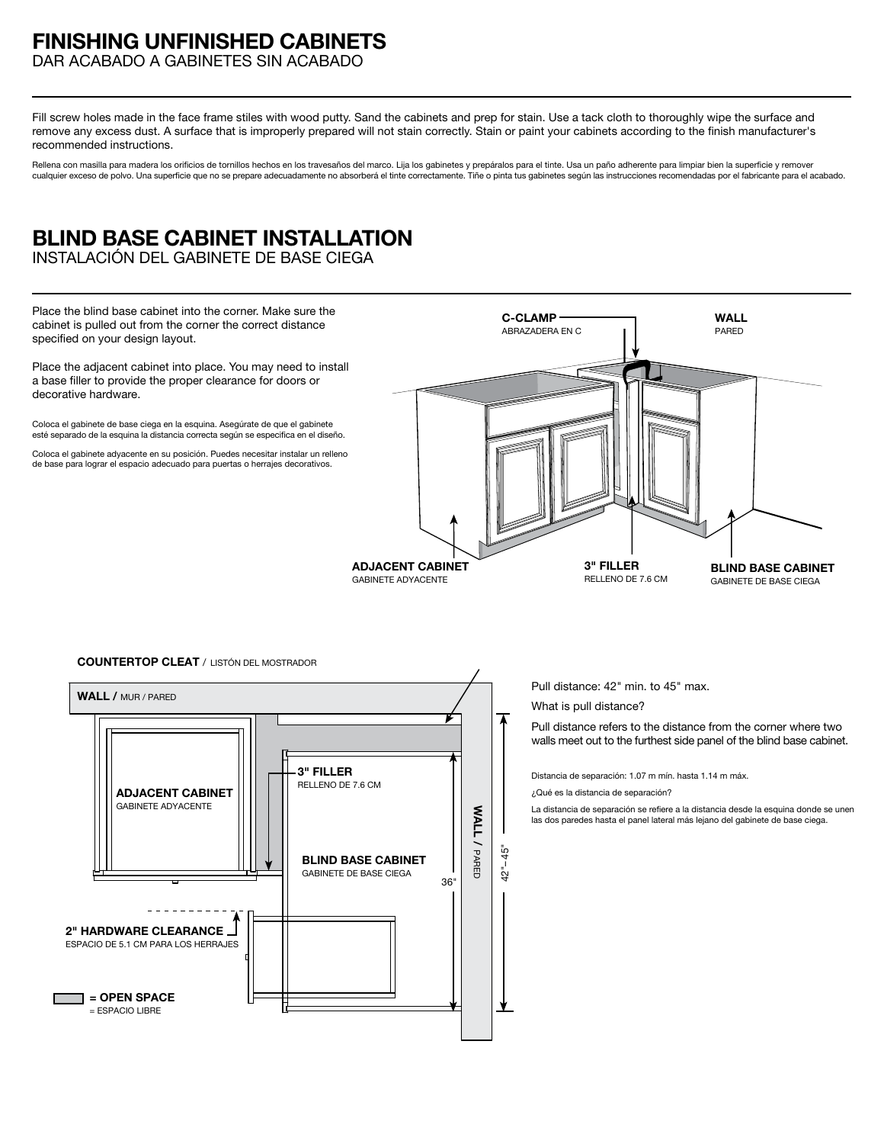# **FINISHING UNFINISHED CABINETS**

DAR ACABADO A GABINETES SIN ACABADO

Fill screw holes made in the face frame stiles with wood putty. Sand the cabinets and prep for stain. Use a tack cloth to thoroughly wipe the surface and remove any excess dust. A surface that is improperly prepared will not stain correctly. Stain or paint your cabinets according to the finish manufacturer's recommended instructions.

Rellena con masilla para madera los orificios de tornillos hechos en los travesaños del marco. Lija los gabinetes y prepáralos para el tinte. Usa un paño adherente para limpiar bien la superficie y remover cualquier exceso de polvo. Una superficie que no se prepare adecuadamente no absorberá el tinte correctamente. Tiñe o pinta tus gabinetes según las instrucciones recomendadas por el fabricante para el acabado.

# **BLIND BASE CABINET INSTALLATION**

INSTALACIÓN DEL GABINETE DE BASE CIEGA

**2" HARDWARE CLEARANCE** ESPACIO DE 5.1 CM PARA LOS HERRAJES

**ADJACENT CABINET** GABINETE ADYACENTE

**= OPEN SPACE** = ESPACIO LIBRE



36"

42"– 45"

**WALL /** PARED

**WALL/PARED** 

**3" FILLER** RELLENO DE 7.6 CM

**BLIND BASE CABINET** GABINETE DE BASE CIEGA

Pull distance refers to the distance from the corner where two walls meet out to the furthest side panel of the blind base cabinet.

Distancia de separación: 1.07 m mín. hasta 1.14 m máx.

¿Qué es la distancia de separación?

La distancia de separación se refiere a la distancia desde la esquina donde se unen las dos paredes hasta el panel lateral más lejano del gabinete de base ciega.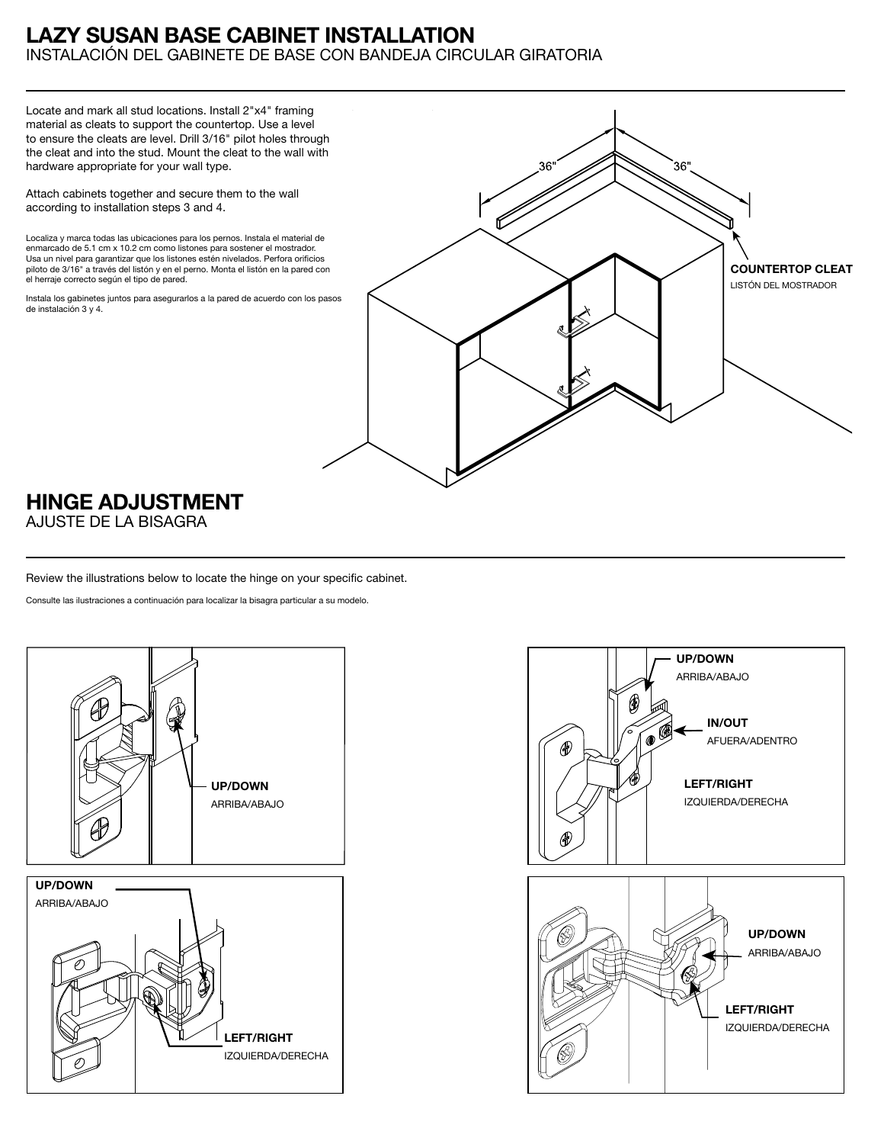## **LAZY SUSAN BASE CABINET INSTALLATION** INSTALACIÓN DEL GABINETE DE BASE CON BANDEJA CIRCULAR GIRATORIA

Locate and mark all stud locations. Install 2"x4" framing material as cleats to support the countertop. Use a level to ensure the cleats are level. Drill 3/16" pilot holes through the cleat and into the stud. Mount the cleat to the wall with hardware appropriate for your wall type.

Attach cabinets together and secure them to the wall according to installation steps 3 and 4.

Localiza y marca todas las ubicaciones para los pernos. Instala el material de enmarcado de 5.1 cm x 10.2 cm como listones para sostener el mostrador. Usa un nivel para garantizar que los listones estén nivelados. Perfora orificios piloto de 3/16" a través del listón y en el perno. Monta el listón en la pared con el herraje correcto según el tipo de pared.

Instala los gabinetes juntos para asegurarlos a la pared de acuerdo con los pasos de instalación 3 y 4.



# **HINGE ADJUSTMENT**

AJUSTE DE LA BISAGRA

Review the illustrations below to locate the hinge on your specific cabinet.

Consulte las ilustraciones a continuación para localizar la bisagra particular a su modelo.